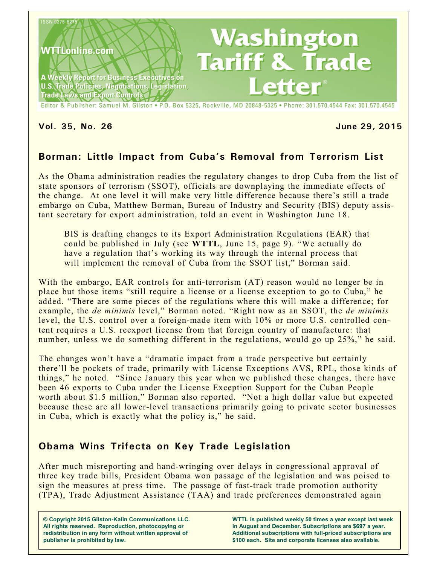

### **Vol. 35, No. 26 June 29, 2015**

# **Borman: Little Impact from Cuba's Removal from Terrorism List**

As the Obama administration readies the regulatory changes to drop Cuba from the list of state sponsors of terrorism (SSOT), officials are downplaying the immediate effects of the change. At one level it will make very little difference because there's still a trade embargo on Cuba, Matthew Borman, Bureau of Industry and Security (BIS) deputy assistant secretary for export administration, told an event in Washington June 18.

BIS is drafting changes to its Export Administration Regulations (EAR) that could be published in July (see **WTTL**, June 15, page 9). "We actually do have a regulation that's working its way through the internal process that will implement the removal of Cuba from the SSOT list," Borman said.

With the embargo, EAR controls for anti-terrorism (AT) reason would no longer be in place but those items "still require a license or a license exception to go to Cuba," he added. "There are some pieces of the regulations where this will make a difference; for example, the *de minimis* level," Borman noted. "Right now as an SSOT, the *de minimis* level, the U.S. control over a foreign-made item with 10% or more U.S. controlled content requires a U.S. reexport license from that foreign country of manufacture: that number, unless we do something different in the regulations, would go up 25%," he said.

The changes won't have a "dramatic impact from a trade perspective but certainly there'll be pockets of trade, primarily with License Exceptions AVS, RPL, those kinds of things," he noted. "Since January this year when we published these changes, there have been 46 exports to Cuba under the License Exception Support for the Cuban People worth about \$1.5 million," Borman also reported. "Not a high dollar value but expected because these are all lower-level transactions primarily going to private sector businesses in Cuba, which is exactly what the policy is," he said.

## **Obama Wins Trifecta on Key Trade Legislation**

After much misreporting and hand-wringing over delays in congressional approval of three key trade bills, President Obama won passage of the legislation and was poised to sign the measures at press time. The passage of fast-track trade promotion authority (TPA), Trade Adjustment Assistance (TAA) and trade preferences demonstrated again

**© Copyright 2015 Gilston-Kalin Communications LLC. All rights reserved. Reproduction, photocopying or redistribution in any form without written approval of publisher is prohibited by law.** 

**WTTL is published weekly 50 times a year except last week in August and December. Subscriptions are \$697 a year. Additional subscriptions with full-priced subscriptions are \$100 each. Site and corporate licenses also available.**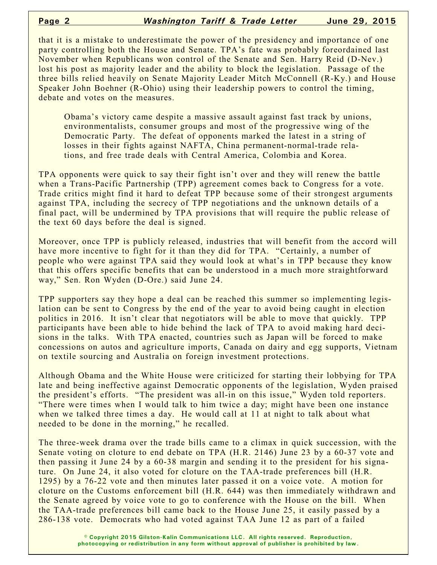that it is a mistake to underestimate the power of the presidency and importance of one party controlling both the House and Senate. TPA's fate was probably foreordained last November when Republicans won control of the Senate and Sen. Harry Reid (D-Nev.) lost his post as majority leader and the ability to block the legislation. Passage of the three bills relied heavily on Senate Majority Leader Mitch McConnell (R-Ky.) and House Speaker John Boehner (R-Ohio) using their leadership powers to control the timing, debate and votes on the measures.

Obama's victory came despite a massive assault against fast track by unions, environmentalists, consumer groups and most of the progressive wing of the Democratic Party. The defeat of opponents marked the latest in a string of losses in their fights against NAFTA, China permanent-normal-trade relations, and free trade deals with Central America, Colombia and Korea.

TPA opponents were quick to say their fight isn't over and they will renew the battle when a Trans-Pacific Partnership (TPP) agreement comes back to Congress for a vote. Trade critics might find it hard to defeat TPP because some of their strongest arguments against TPA, including the secrecy of TPP negotiations and the unknown details of a final pact, will be undermined by TPA provisions that will require the public release of the text 60 days before the deal is signed.

Moreover, once TPP is publicly released, industries that will benefit from the accord will have more incentive to fight for it than they did for TPA. "Certainly, a number of people who were against TPA said they would look at what's in TPP because they know that this offers specific benefits that can be understood in a much more straightforward way," Sen. Ron Wyden (D-Ore.) said June 24.

TPP supporters say they hope a deal can be reached this summer so implementing legislation can be sent to Congress by the end of the year to avoid being caught in election politics in 2016. It isn't clear that negotiators will be able to move that quickly. TPP participants have been able to hide behind the lack of TPA to avoid making hard decisions in the talks. With TPA enacted, countries such as Japan will be forced to make concessions on autos and agriculture imports, Canada on dairy and egg supports, Vietnam on textile sourcing and Australia on foreign investment protections.

Although Obama and the White House were criticized for starting their lobbying for TPA late and being ineffective against Democratic opponents of the legislation, Wyden praised the president's efforts. "The president was all-in on this issue," Wyden told reporters. "There were times when I would talk to him twice a day; might have been one instance when we talked three times a day. He would call at 11 at night to talk about what needed to be done in the morning," he recalled.

The three-week drama over the trade bills came to a climax in quick succession, with the Senate voting on cloture to end debate on TPA (H.R. 2146) June 23 by a 60-37 vote and then passing it June 24 by a 60-38 margin and sending it to the president for his signature. On June 24, it also voted for cloture on the TAA-trade preferences bill (H.R. 1295) by a 76-22 vote and then minutes later passed it on a voice vote. A motion for cloture on the Customs enforcement bill (H.R. 644) was then immediately withdrawn and the Senate agreed by voice vote to go to conference with the House on the bill. When the TAA-trade preferences bill came back to the House June 25, it easily passed by a 286-138 vote. Democrats who had voted against TAA June 12 as part of a failed

> **© Copyright 2015 Gilston-Kalin Communications LLC. All rights reserved. Reproduction, photocopying or redistribution in any form without approval of publisher is prohibited by law.**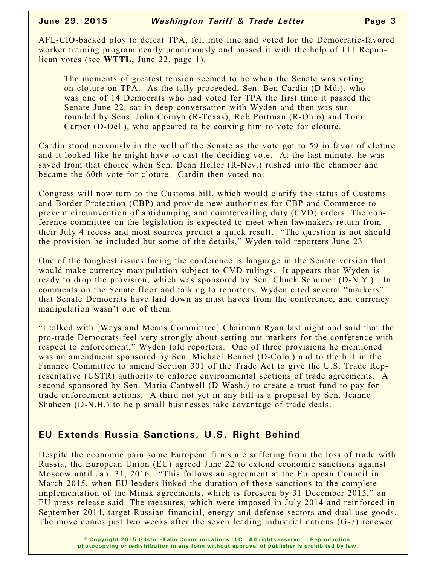AFL-CIO-backed ploy to defeat TPA, fell into line and voted for the Democratic-favored worker training program nearly unanimously and passed it with the help of 111 Republican votes (see **WTTL,** June 22, page 1).

The moments of greatest tension seemed to be when the Senate was voting on cloture on TPA. As the tally proceeded, Sen. Ben Cardin (D-Md.), who was one of 14 Democrats who had voted for TPA the first time it passed the Senate June 22, sat in deep conversation with Wyden and then was surrounded by Sens. John Cornyn (R-Texas), Rob Portman (R-Ohio) and Tom Carper (D-Del.), who appeared to be coaxing him to vote for cloture.

Cardin stood nervously in the well of the Senate as the vote got to 59 in favor of cloture and it looked like he might have to cast the deciding vote. At the last minute, he was saved from that choice when Sen. Dean Heller (R-Nev.) rushed into the chamber and became the 60th vote for cloture. Cardin then voted no.

Congress will now turn to the Customs bill, which would clarify the status of Customs and Border Protection (CBP) and provide new authorities for CBP and Commerce to prevent circumvention of antidumping and countervailing duty (CVD) orders. The conference committee on the legislation is expected to meet when lawmakers return from their July 4 recess and most sources predict a quick result. "The question is not should the provision be included but some of the details," Wyden told reporters June 23.

One of the toughest issues facing the conference is language in the Senate version that would make currency manipulation subject to CVD rulings. It appears that Wyden is ready to drop the provision, which was sponsored by Sen. Chuck Schumer (D-N.Y.). In comments on the Senate floor and talking to reporters, Wyden cited several "markers" that Senate Democrats have laid down as must haves from the conference, and currency manipulation wasn't one of them.

"I talked with [Ways and Means Committtee] Chairman Ryan last night and said that the pro-trade Democrats feel very strongly about setting out markers for the conference with respect to enforcement," Wyden told reporters. One of three provisions he mentioned was an amendment sponsored by Sen. Michael Bennet (D-Colo.) and to the bill in the Finance Committee to amend Section 301 of the Trade Act to give the U.S. Trade Representative (USTR) authority to enforce environmental sections of trade agreements. A second sponsored by Sen. Maria Cantwell (D-Wash.) to create a trust fund to pay for trade enforcement actions. A third not yet in any bill is a proposal by Sen. Jeanne Shaheen (D-N.H.) to help small businesses take advantage of trade deals.

## **EU Extends Russia Sanctions, U.S. Right Behind**

Despite the economic pain some European firms are suffering from the loss of trade with Russia, the European Union (EU) agreed June 22 to extend economic sanctions against Moscow until Jan. 31, 2016. "This follows an agreement at the European Council in March 2015, when EU leaders linked the duration of these sanctions to the complete implementation of the Minsk agreements, which is foreseen by 31 December 2015," an EU press release said. The measures, which were imposed in July 2014 and reinforced in September 2014, target Russian financial, energy and defense sectors and dual-use goods. The move comes just two weeks after the seven leading industrial nations (G-7) renewed

> **© Copyright 2015 Gilston-Kalin Communications LLC. All rights reserved. Reproduction, photocopying or redistribution in any form without approval of publisher is prohibited by law.**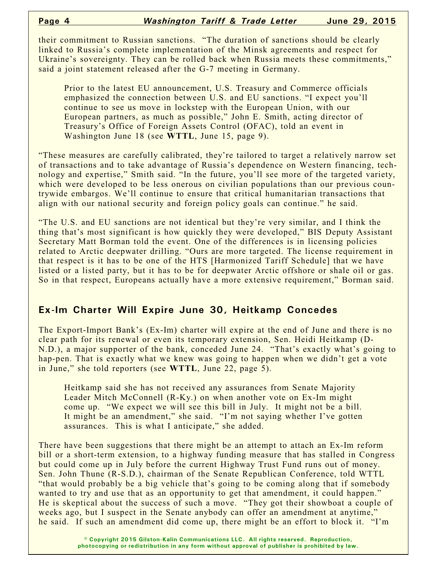their commitment to Russian sanctions. "The duration of sanctions should be clearly linked to Russia's complete implementation of the Minsk agreements and respect for Ukraine's sovereignty. They can be rolled back when Russia meets these commitments," said a joint statement released after the G-7 meeting in Germany.

Prior to the latest EU announcement, U.S. Treasury and Commerce officials emphasized the connection between U.S. and EU sanctions. "I expect you'll continue to see us move in lockstep with the European Union, with our European partners, as much as possible," John E. Smith, acting director of Treasury's Office of Foreign Assets Control (OFAC), told an event in Washington June 18 (see **WTTL**, June 15, page 9).

"These measures are carefully calibrated, they're tailored to target a relatively narrow set of transactions and to take advantage of Russia's dependence on Western financing, technology and expertise," Smith said. "In the future, you'll see more of the targeted variety, which were developed to be less onerous on civilian populations than our previous countrywide embargos. We'll continue to ensure that critical humanitarian transactions that align with our national security and foreign policy goals can continue." he said.

"The U.S. and EU sanctions are not identical but they're very similar, and I think the thing that's most significant is how quickly they were developed," BIS Deputy Assistant Secretary Matt Borman told the event. One of the differences is in licensing policies related to Arctic deepwater drilling. "Ours are more targeted. The license requirement in that respect is it has to be one of the HTS [Harmonized Tariff Schedule] that we have listed or a listed party, but it has to be for deepwater Arctic offshore or shale oil or gas. So in that respect, Europeans actually have a more extensive requirement," Borman said.

### **Ex-Im Charter Will Expire June 30, Heitkamp Concedes**

The Export-Import Bank's (Ex-Im) charter will expire at the end of June and there is no clear path for its renewal or even its temporary extension, Sen. Heidi Heitkamp (D-N.D.), a major supporter of the bank, conceded June 24. "That's exactly what's going to hap-pen. That is exactly what we knew was going to happen when we didn't get a vote in June," she told reporters (see **WTTL**, June 22, page 5).

Heitkamp said she has not received any assurances from Senate Majority Leader Mitch McConnell (R-Ky.) on when another vote on Ex-Im might come up. "We expect we will see this bill in July. It might not be a bill. It might be an amendment," she said. "I'm not saying whether I've gotten assurances. This is what I anticipate," she added.

There have been suggestions that there might be an attempt to attach an Ex-Im reform bill or a short-term extension, to a highway funding measure that has stalled in Congress but could come up in July before the current Highway Trust Fund runs out of money. Sen. John Thune (R-S.D.), chairman of the Senate Republican Conference, told WTTL "that would probably be a big vehicle that's going to be coming along that if somebody wanted to try and use that as an opportunity to get that amendment, it could happen." He is skeptical about the success of such a move. "They got their showboat a couple of weeks ago, but I suspect in the Senate anybody can offer an amendment at anytime," he said. If such an amendment did come up, there might be an effort to block it. "I'm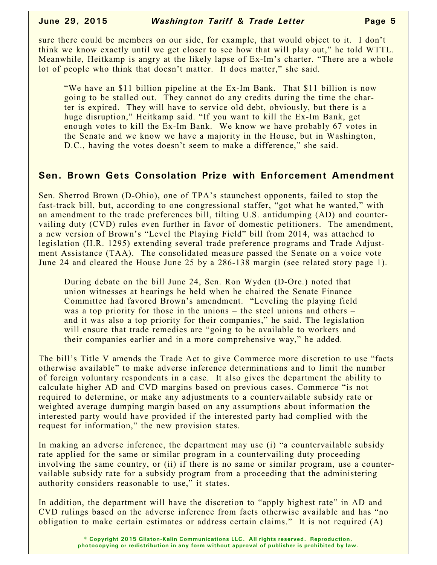sure there could be members on our side, for example, that would object to it. I don't think we know exactly until we get closer to see how that will play out," he told WTTL. Meanwhile, Heitkamp is angry at the likely lapse of Ex-Im's charter. "There are a whole lot of people who think that doesn't matter. It does matter," she said.

"We have an \$11 billion pipeline at the Ex-Im Bank. That \$11 billion is now going to be stalled out. They cannot do any credits during the time the charter is expired. They will have to service old debt, obviously, but there is a huge disruption," Heitkamp said. "If you want to kill the Ex-Im Bank, get enough votes to kill the Ex-Im Bank. We know we have probably 67 votes in the Senate and we know we have a majority in the House, but in Washington, D.C., having the votes doesn't seem to make a difference," she said.

## **Sen. Brown Gets Consolation Prize with Enforcement Amendment**

Sen. Sherrod Brown (D-Ohio), one of TPA's staunchest opponents, failed to stop the fast-track bill, but, according to one congressional staffer, "got what he wanted," with an amendment to the trade preferences bill, tilting U.S. antidumping (AD) and countervailing duty (CVD) rules even further in favor of domestic petitioners. The amendment, a new version of Brown's "Level the Playing Field" bill from 2014, was attached to legislation (H.R. 1295) extending several trade preference programs and Trade Adjustment Assistance (TAA). The consolidated measure passed the Senate on a voice vote June 24 and cleared the House June 25 by a 286-138 margin (see related story page 1).

During debate on the bill June 24, Sen. Ron Wyden (D-Ore.) noted that union witnesses at hearings he held when he chaired the Senate Finance Committee had favored Brown's amendment. "Leveling the playing field was a top priority for those in the unions – the steel unions and others – and it was also a top priority for their companies," he said. The legislation will ensure that trade remedies are "going to be available to workers and their companies earlier and in a more comprehensive way," he added.

The bill's Title V amends the Trade Act to give Commerce more discretion to use "facts otherwise available" to make adverse inference determinations and to limit the number of foreign voluntary respondents in a case. It also gives the department the ability to calculate higher AD and CVD margins based on previous cases. Commerce "is not required to determine, or make any adjustments to a countervailable subsidy rate or weighted average dumping margin based on any assumptions about information the interested party would have provided if the interested party had complied with the request for information," the new provision states.

In making an adverse inference, the department may use (i) "a countervailable subsidy rate applied for the same or similar program in a countervailing duty proceeding involving the same country, or (ii) if there is no same or similar program, use a countervailable subsidy rate for a subsidy program from a proceeding that the administering authority considers reasonable to use," it states.

In addition, the department will have the discretion to "apply highest rate" in AD and CVD rulings based on the adverse inference from facts otherwise available and has "no obligation to make certain estimates or address certain claims." It is not required (A)